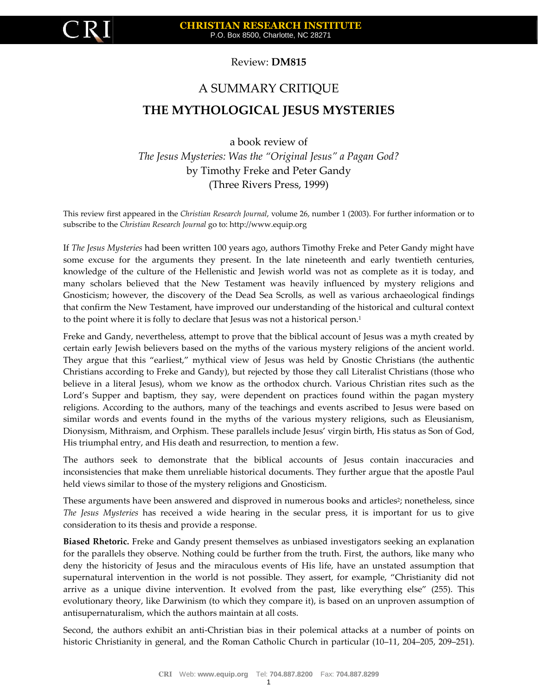

## Review: **DM815**

## A SUMMARY CRITIQUE **THE MYTHOLOGICAL JESUS MYSTERIES**

a book review of *The Jesus Mysteries: Was the "Original Jesus" a Pagan God?* by Timothy Freke and Peter Gandy (Three Rivers Press, 1999)

This review first appeared in the *Christian Research Journal*, volume 26, number 1 (2003). For further information or to subscribe to the *Christian Research Journal* go to: http://www.equip.org

If *The Jesus Mysteries* had been written 100 years ago, authors Timothy Freke and Peter Gandy might have some excuse for the arguments they present. In the late nineteenth and early twentieth centuries, knowledge of the culture of the Hellenistic and Jewish world was not as complete as it is today, and many scholars believed that the New Testament was heavily influenced by mystery religions and Gnosticism; however, the discovery of the Dead Sea Scrolls, as well as various archaeological findings that confirm the New Testament, have improved our understanding of the historical and cultural context to the point where it is folly to declare that Jesus was not a historical person.<sup>1</sup>

Freke and Gandy, nevertheless, attempt to prove that the biblical account of Jesus was a myth created by certain early Jewish believers based on the myths of the various mystery religions of the ancient world. They argue that this "earliest," mythical view of Jesus was held by Gnostic Christians (the authentic Christians according to Freke and Gandy), but rejected by those they call Literalist Christians (those who believe in a literal Jesus), whom we know as the orthodox church. Various Christian rites such as the Lord's Supper and baptism, they say, were dependent on practices found within the pagan mystery religions. According to the authors, many of the teachings and events ascribed to Jesus were based on similar words and events found in the myths of the various mystery religions, such as Eleusianism, Dionysism, Mithraism, and Orphism. These parallels include Jesus' virgin birth, His status as Son of God, His triumphal entry, and His death and resurrection, to mention a few.

The authors seek to demonstrate that the biblical accounts of Jesus contain inaccuracies and inconsistencies that make them unreliable historical documents. They further argue that the apostle Paul held views similar to those of the mystery religions and Gnosticism.

These arguments have been answered and disproved in numerous books and articles<sup>2</sup>; nonetheless, since *The Jesus Mysteries* has received a wide hearing in the secular press, it is important for us to give consideration to its thesis and provide a response.

**Biased Rhetoric.** Freke and Gandy present themselves as unbiased investigators seeking an explanation for the parallels they observe. Nothing could be further from the truth. First, the authors, like many who deny the historicity of Jesus and the miraculous events of His life, have an unstated assumption that supernatural intervention in the world is not possible. They assert, for example, "Christianity did not arrive as a unique divine intervention. It evolved from the past, like everything else" (255). This evolutionary theory, like Darwinism (to which they compare it), is based on an unproven assumption of antisupernaturalism, which the authors maintain at all costs.

Second, the authors exhibit an anti-Christian bias in their polemical attacks at a number of points on historic Christianity in general, and the Roman Catholic Church in particular (10–11, 204–205, 209–251).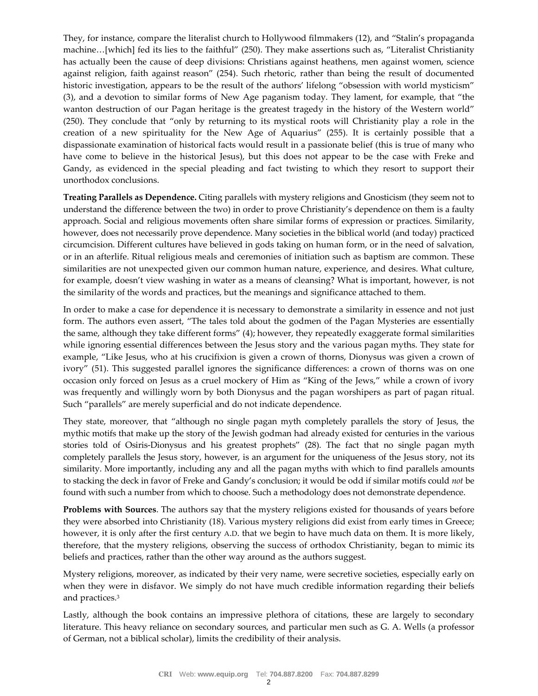They, for instance, compare the literalist church to Hollywood filmmakers (12), and "Stalin's propaganda machine…[which] fed its lies to the faithful" (250). They make assertions such as, "Literalist Christianity has actually been the cause of deep divisions: Christians against heathens, men against women, science against religion, faith against reason" (254). Such rhetoric, rather than being the result of documented historic investigation, appears to be the result of the authors' lifelong "obsession with world mysticism" (3), and a devotion to similar forms of New Age paganism today. They lament, for example, that "the wanton destruction of our Pagan heritage is the greatest tragedy in the history of the Western world" (250). They conclude that "only by returning to its mystical roots will Christianity play a role in the creation of a new spirituality for the New Age of Aquarius" (255). It is certainly possible that a dispassionate examination of historical facts would result in a passionate belief (this is true of many who have come to believe in the historical Jesus), but this does not appear to be the case with Freke and Gandy, as evidenced in the special pleading and fact twisting to which they resort to support their unorthodox conclusions.

**Treating Parallels as Dependence.** Citing parallels with mystery religions and Gnosticism (they seem not to understand the difference between the two) in order to prove Christianity's dependence on them is a faulty approach. Social and religious movements often share similar forms of expression or practices. Similarity, however, does not necessarily prove dependence. Many societies in the biblical world (and today) practiced circumcision. Different cultures have believed in gods taking on human form, or in the need of salvation, or in an afterlife. Ritual religious meals and ceremonies of initiation such as baptism are common. These similarities are not unexpected given our common human nature, experience, and desires. What culture, for example, doesn't view washing in water as a means of cleansing? What is important, however, is not the similarity of the words and practices, but the meanings and significance attached to them.

In order to make a case for dependence it is necessary to demonstrate a similarity in essence and not just form. The authors even assert, "The tales told about the godmen of the Pagan Mysteries are essentially the same, although they take different forms" (4); however, they repeatedly exaggerate formal similarities while ignoring essential differences between the Jesus story and the various pagan myths. They state for example, "Like Jesus, who at his crucifixion is given a crown of thorns, Dionysus was given a crown of ivory" (51). This suggested parallel ignores the significance differences: a crown of thorns was on one occasion only forced on Jesus as a cruel mockery of Him as "King of the Jews," while a crown of ivory was frequently and willingly worn by both Dionysus and the pagan worshipers as part of pagan ritual. Such "parallels" are merely superficial and do not indicate dependence.

They state, moreover, that "although no single pagan myth completely parallels the story of Jesus, the mythic motifs that make up the story of the Jewish godman had already existed for centuries in the various stories told of Osiris-Dionysus and his greatest prophets" (28). The fact that no single pagan myth completely parallels the Jesus story, however, is an argument for the uniqueness of the Jesus story, not its similarity. More importantly, including any and all the pagan myths with which to find parallels amounts to stacking the deck in favor of Freke and Gandy's conclusion; it would be odd if similar motifs could *not* be found with such a number from which to choose. Such a methodology does not demonstrate dependence.

**Problems with Sources**. The authors say that the mystery religions existed for thousands of years before they were absorbed into Christianity (18). Various mystery religions did exist from early times in Greece; however, it is only after the first century A.D. that we begin to have much data on them. It is more likely, therefore, that the mystery religions, observing the success of orthodox Christianity, began to mimic its beliefs and practices, rather than the other way around as the authors suggest.

Mystery religions, moreover, as indicated by their very name, were secretive societies, especially early on when they were in disfavor. We simply do not have much credible information regarding their beliefs and practices.<sup>3</sup>

Lastly, although the book contains an impressive plethora of citations, these are largely to secondary literature. This heavy reliance on secondary sources, and particular men such as G. A. Wells (a professor of German, not a biblical scholar), limits the credibility of their analysis.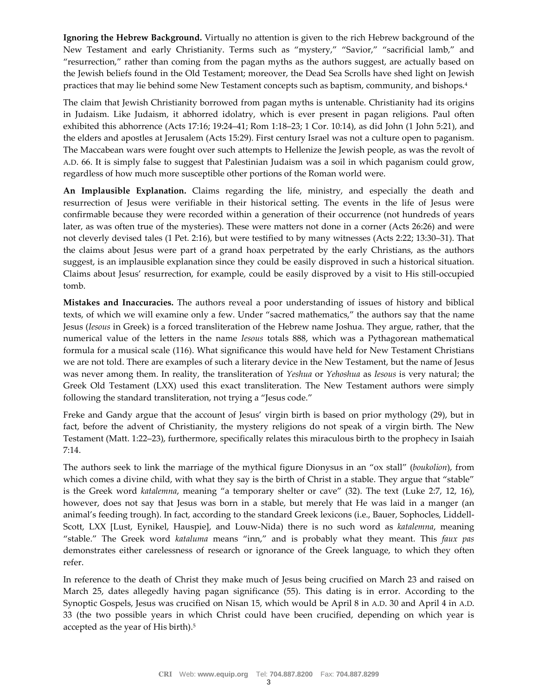**Ignoring the Hebrew Background.** Virtually no attention is given to the rich Hebrew background of the New Testament and early Christianity. Terms such as "mystery," "Savior," "sacrificial lamb," and "resurrection," rather than coming from the pagan myths as the authors suggest, are actually based on the Jewish beliefs found in the Old Testament; moreover, the Dead Sea Scrolls have shed light on Jewish practices that may lie behind some New Testament concepts such as baptism, community, and bishops.<sup>4</sup>

The claim that Jewish Christianity borrowed from pagan myths is untenable. Christianity had its origins in Judaism. Like Judaism, it abhorred idolatry, which is ever present in pagan religions. Paul often exhibited this abhorrence (Acts 17:16; 19:24–41; Rom 1:18–23; 1 Cor. 10:14), as did John (1 John 5:21), and the elders and apostles at Jerusalem (Acts 15:29). First century Israel was not a culture open to paganism. The Maccabean wars were fought over such attempts to Hellenize the Jewish people, as was the revolt of A.D. 66. It is simply false to suggest that Palestinian Judaism was a soil in which paganism could grow, regardless of how much more susceptible other portions of the Roman world were.

**An Implausible Explanation.** Claims regarding the life, ministry, and especially the death and resurrection of Jesus were verifiable in their historical setting. The events in the life of Jesus were confirmable because they were recorded within a generation of their occurrence (not hundreds of years later, as was often true of the mysteries). These were matters not done in a corner (Acts 26:26) and were not cleverly devised tales (1 Pet. 2:16), but were testified to by many witnesses (Acts 2:22; 13:30–31). That the claims about Jesus were part of a grand hoax perpetrated by the early Christians, as the authors suggest, is an implausible explanation since they could be easily disproved in such a historical situation. Claims about Jesus' resurrection, for example, could be easily disproved by a visit to His still-occupied tomb.

**Mistakes and Inaccuracies.** The authors reveal a poor understanding of issues of history and biblical texts, of which we will examine only a few. Under "sacred mathematics," the authors say that the name Jesus (*Iesous* in Greek) is a forced transliteration of the Hebrew name Joshua. They argue, rather, that the numerical value of the letters in the name *Iesous* totals 888, which was a Pythagorean mathematical formula for a musical scale (116). What significance this would have held for New Testament Christians we are not told. There are examples of such a literary device in the New Testament, but the name of Jesus was never among them. In reality, the transliteration of *Yeshua* or *Yehoshua* as *Iesous* is very natural; the Greek Old Testament (LXX) used this exact transliteration. The New Testament authors were simply following the standard transliteration, not trying a "Jesus code."

Freke and Gandy argue that the account of Jesus' virgin birth is based on prior mythology (29), but in fact, before the advent of Christianity, the mystery religions do not speak of a virgin birth. The New Testament (Matt. 1:22–23), furthermore, specifically relates this miraculous birth to the prophecy in Isaiah 7:14.

The authors seek to link the marriage of the mythical figure Dionysus in an "ox stall" (*boukolion*), from which comes a divine child, with what they say is the birth of Christ in a stable. They argue that "stable" is the Greek word *katalemna*, meaning "a temporary shelter or cave" (32). The text (Luke 2:7, 12, 16), however, does not say that Jesus was born in a stable, but merely that He was laid in a manger (an animal's feeding trough). In fact, according to the standard Greek lexicons (i.e., Bauer, Sophocles, Liddell-Scott, LXX [Lust, Eynikel, Hauspie], and Louw-Nida) there is no such word as *katalemna*, meaning "stable." The Greek word *kataluma* means "inn," and is probably what they meant. This *faux pas* demonstrates either carelessness of research or ignorance of the Greek language, to which they often refer.

In reference to the death of Christ they make much of Jesus being crucified on March 23 and raised on March 25, dates allegedly having pagan significance (55). This dating is in error. According to the Synoptic Gospels, Jesus was crucified on Nisan 15, which would be April 8 in A.D. 30 and April 4 in A.D. 33 (the two possible years in which Christ could have been crucified, depending on which year is accepted as the year of His birth).5